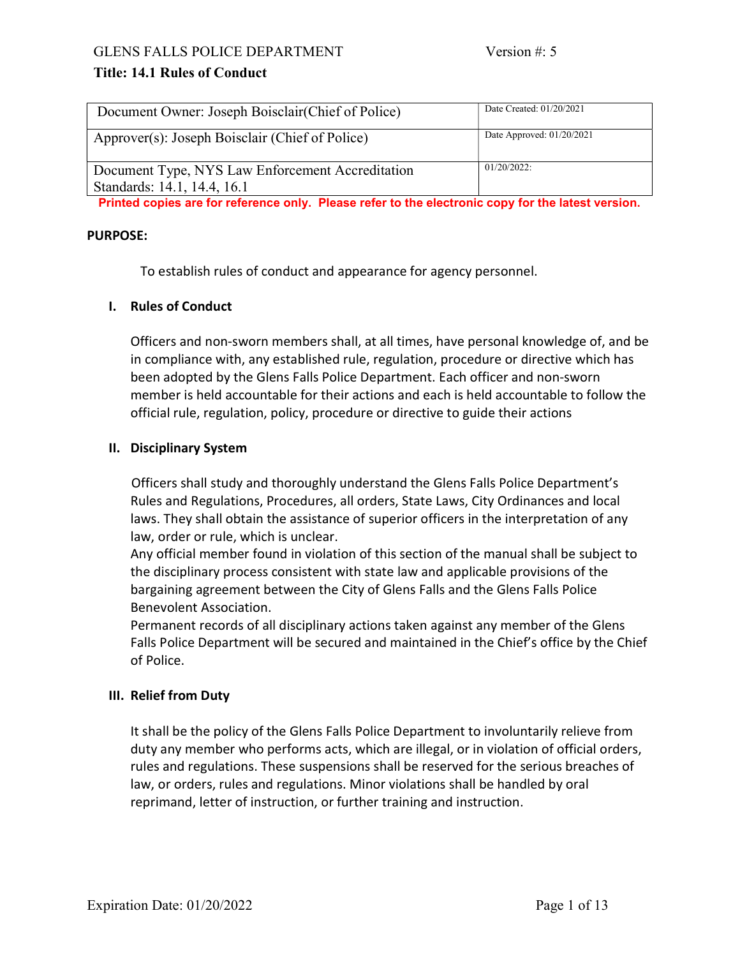### GLENS FALLS POLICE DEPARTMENT Version #: 5

## Title: 14.1 Rules of Conduct

| Document Owner: Joseph Boisclair (Chief of Police)                              | Date Created: 01/20/2021    |
|---------------------------------------------------------------------------------|-----------------------------|
| Approver(s): Joseph Boisclair (Chief of Police)                                 | Date Approved: $01/20/2021$ |
| Document Type, NYS Law Enforcement Accreditation<br>Standards: 14.1, 14.4, 16.1 | $01/20/2022$ :              |

Printed copies are for reference only. Please refer to the electronic copy for the latest version.

#### PURPOSE:

To establish rules of conduct and appearance for agency personnel.

#### I. Rules of Conduct

Officers and non-sworn members shall, at all times, have personal knowledge of, and be in compliance with, any established rule, regulation, procedure or directive which has been adopted by the Glens Falls Police Department. Each officer and non-sworn member is held accountable for their actions and each is held accountable to follow the official rule, regulation, policy, procedure or directive to guide their actions

#### II. Disciplinary System

Officers shall study and thoroughly understand the Glens Falls Police Department's Rules and Regulations, Procedures, all orders, State Laws, City Ordinances and local laws. They shall obtain the assistance of superior officers in the interpretation of any law, order or rule, which is unclear.

Any official member found in violation of this section of the manual shall be subject to the disciplinary process consistent with state law and applicable provisions of the bargaining agreement between the City of Glens Falls and the Glens Falls Police Benevolent Association.

Permanent records of all disciplinary actions taken against any member of the Glens Falls Police Department will be secured and maintained in the Chief's office by the Chief of Police.

#### III. Relief from Duty

It shall be the policy of the Glens Falls Police Department to involuntarily relieve from duty any member who performs acts, which are illegal, or in violation of official orders, rules and regulations. These suspensions shall be reserved for the serious breaches of law, or orders, rules and regulations. Minor violations shall be handled by oral reprimand, letter of instruction, or further training and instruction.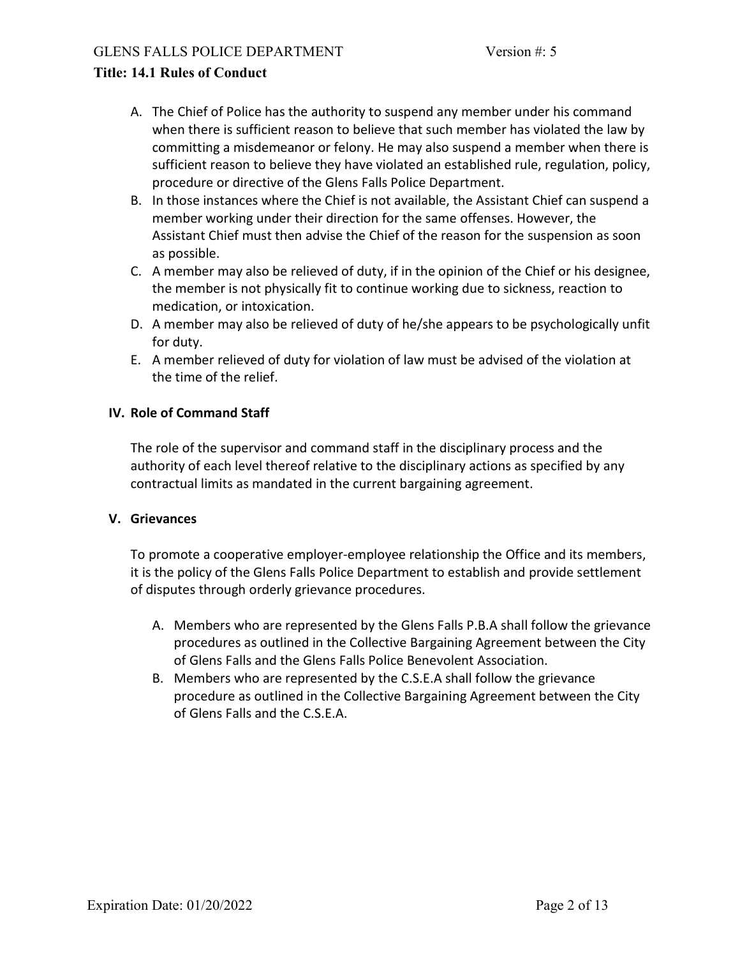- A. The Chief of Police has the authority to suspend any member under his command when there is sufficient reason to believe that such member has violated the law by committing a misdemeanor or felony. He may also suspend a member when there is sufficient reason to believe they have violated an established rule, regulation, policy, procedure or directive of the Glens Falls Police Department.
- B. In those instances where the Chief is not available, the Assistant Chief can suspend a member working under their direction for the same offenses. However, the Assistant Chief must then advise the Chief of the reason for the suspension as soon as possible.
- C. A member may also be relieved of duty, if in the opinion of the Chief or his designee, the member is not physically fit to continue working due to sickness, reaction to medication, or intoxication.
- D. A member may also be relieved of duty of he/she appears to be psychologically unfit for duty.
- E. A member relieved of duty for violation of law must be advised of the violation at the time of the relief.

### IV. Role of Command Staff

The role of the supervisor and command staff in the disciplinary process and the authority of each level thereof relative to the disciplinary actions as specified by any contractual limits as mandated in the current bargaining agreement.

### V. Grievances

To promote a cooperative employer-employee relationship the Office and its members, it is the policy of the Glens Falls Police Department to establish and provide settlement of disputes through orderly grievance procedures.

- A. Members who are represented by the Glens Falls P.B.A shall follow the grievance procedures as outlined in the Collective Bargaining Agreement between the City of Glens Falls and the Glens Falls Police Benevolent Association.
- B. Members who are represented by the C.S.E.A shall follow the grievance procedure as outlined in the Collective Bargaining Agreement between the City of Glens Falls and the C.S.E.A.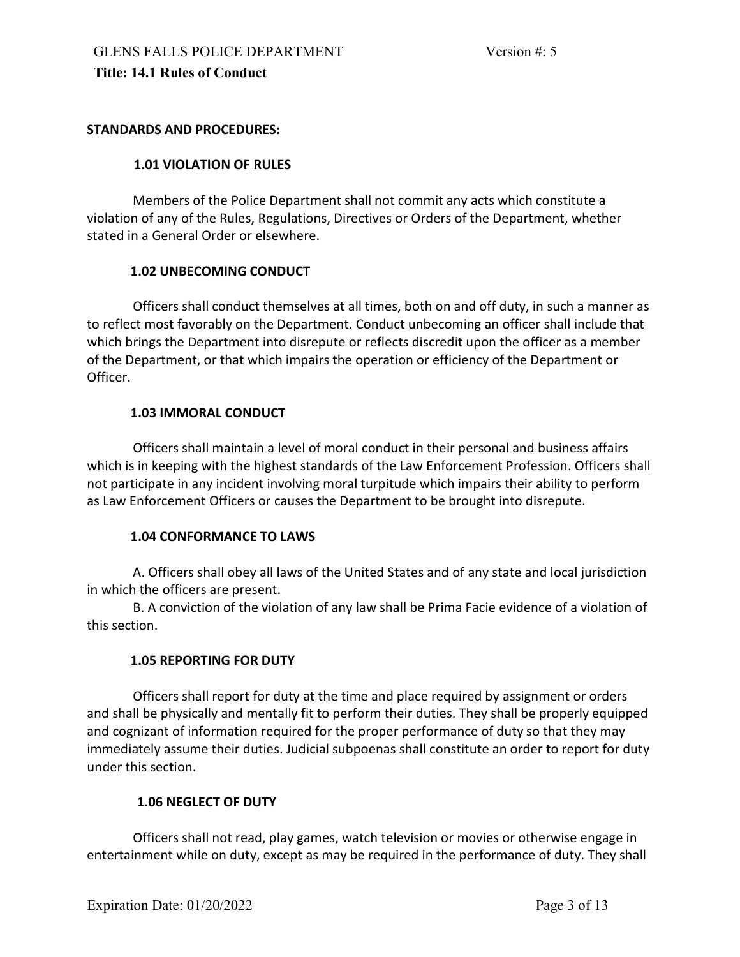### STANDARDS AND PROCEDURES:

## 1.01 VIOLATION OF RULES

 Members of the Police Department shall not commit any acts which constitute a violation of any of the Rules, Regulations, Directives or Orders of the Department, whether stated in a General Order or elsewhere.

### 1.02 UNBECOMING CONDUCT

 Officers shall conduct themselves at all times, both on and off duty, in such a manner as to reflect most favorably on the Department. Conduct unbecoming an officer shall include that which brings the Department into disrepute or reflects discredit upon the officer as a member of the Department, or that which impairs the operation or efficiency of the Department or Officer.

### 1.03 IMMORAL CONDUCT

 Officers shall maintain a level of moral conduct in their personal and business affairs which is in keeping with the highest standards of the Law Enforcement Profession. Officers shall not participate in any incident involving moral turpitude which impairs their ability to perform as Law Enforcement Officers or causes the Department to be brought into disrepute.

#### 1.04 CONFORMANCE TO LAWS

 A. Officers shall obey all laws of the United States and of any state and local jurisdiction in which the officers are present.

 B. A conviction of the violation of any law shall be Prima Facie evidence of a violation of this section.

## 1.05 REPORTING FOR DUTY

 Officers shall report for duty at the time and place required by assignment or orders and shall be physically and mentally fit to perform their duties. They shall be properly equipped and cognizant of information required for the proper performance of duty so that they may immediately assume their duties. Judicial subpoenas shall constitute an order to report for duty under this section.

## 1.06 NEGLECT OF DUTY

 Officers shall not read, play games, watch television or movies or otherwise engage in entertainment while on duty, except as may be required in the performance of duty. They shall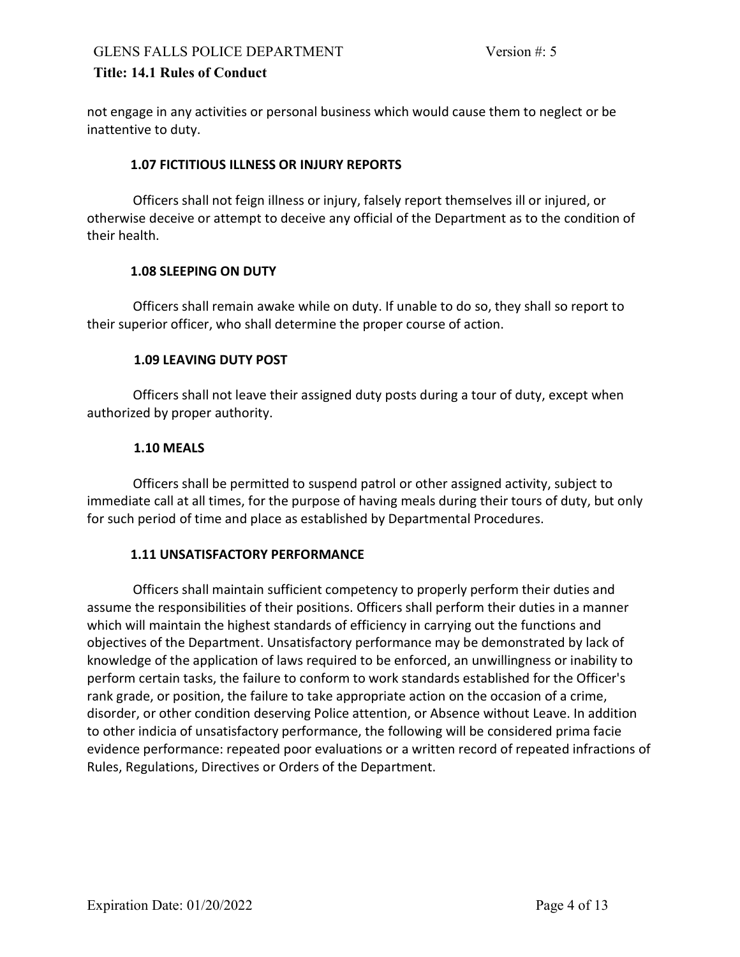not engage in any activities or personal business which would cause them to neglect or be inattentive to duty.

### 1.07 FICTITIOUS ILLNESS OR INJURY REPORTS

 Officers shall not feign illness or injury, falsely report themselves ill or injured, or otherwise deceive or attempt to deceive any official of the Department as to the condition of their health.

### 1.08 SLEEPING ON DUTY

 Officers shall remain awake while on duty. If unable to do so, they shall so report to their superior officer, who shall determine the proper course of action.

### 1.09 LEAVING DUTY POST

 Officers shall not leave their assigned duty posts during a tour of duty, except when authorized by proper authority.

### 1.10 MEALS

 Officers shall be permitted to suspend patrol or other assigned activity, subject to immediate call at all times, for the purpose of having meals during their tours of duty, but only for such period of time and place as established by Departmental Procedures.

## 1.11 UNSATISFACTORY PERFORMANCE

 Officers shall maintain sufficient competency to properly perform their duties and assume the responsibilities of their positions. Officers shall perform their duties in a manner which will maintain the highest standards of efficiency in carrying out the functions and objectives of the Department. Unsatisfactory performance may be demonstrated by lack of knowledge of the application of laws required to be enforced, an unwillingness or inability to perform certain tasks, the failure to conform to work standards established for the Officer's rank grade, or position, the failure to take appropriate action on the occasion of a crime, disorder, or other condition deserving Police attention, or Absence without Leave. In addition to other indicia of unsatisfactory performance, the following will be considered prima facie evidence performance: repeated poor evaluations or a written record of repeated infractions of Rules, Regulations, Directives or Orders of the Department.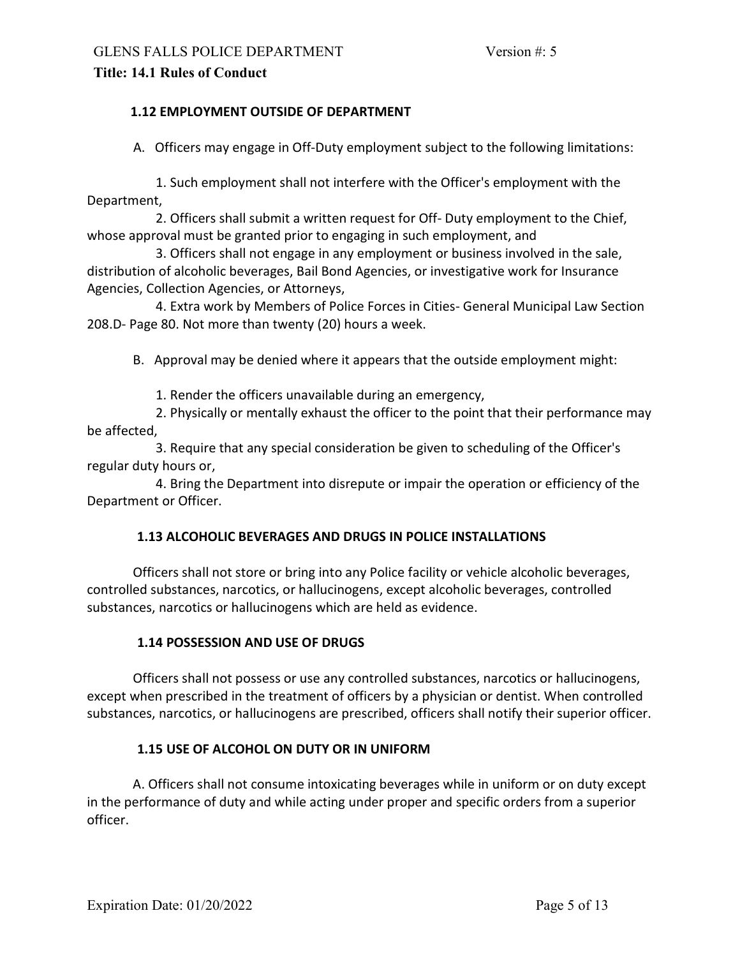### 1.12 EMPLOYMENT OUTSIDE OF DEPARTMENT

A. Officers may engage in Off-Duty employment subject to the following limitations:

 1. Such employment shall not interfere with the Officer's employment with the Department,

 2. Officers shall submit a written request for Off- Duty employment to the Chief, whose approval must be granted prior to engaging in such employment, and

 3. Officers shall not engage in any employment or business involved in the sale, distribution of alcoholic beverages, Bail Bond Agencies, or investigative work for Insurance Agencies, Collection Agencies, or Attorneys,

 4. Extra work by Members of Police Forces in Cities- General Municipal Law Section 208.D- Page 80. Not more than twenty (20) hours a week.

B. Approval may be denied where it appears that the outside employment might:

1. Render the officers unavailable during an emergency,

 2. Physically or mentally exhaust the officer to the point that their performance may be affected,

 3. Require that any special consideration be given to scheduling of the Officer's regular duty hours or,

 4. Bring the Department into disrepute or impair the operation or efficiency of the Department or Officer.

#### 1.13 ALCOHOLIC BEVERAGES AND DRUGS IN POLICE INSTALLATIONS

 Officers shall not store or bring into any Police facility or vehicle alcoholic beverages, controlled substances, narcotics, or hallucinogens, except alcoholic beverages, controlled substances, narcotics or hallucinogens which are held as evidence.

#### 1.14 POSSESSION AND USE OF DRUGS

 Officers shall not possess or use any controlled substances, narcotics or hallucinogens, except when prescribed in the treatment of officers by a physician or dentist. When controlled substances, narcotics, or hallucinogens are prescribed, officers shall notify their superior officer.

#### 1.15 USE OF ALCOHOL ON DUTY OR IN UNIFORM

 A. Officers shall not consume intoxicating beverages while in uniform or on duty except in the performance of duty and while acting under proper and specific orders from a superior officer.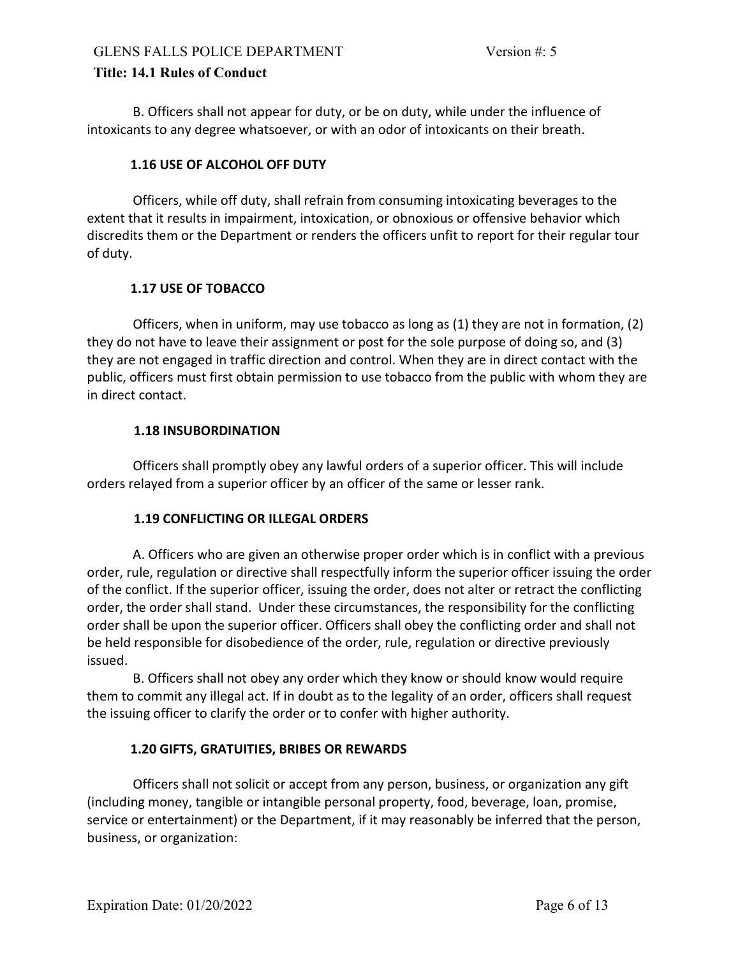B. Officers shall not appear for duty, or be on duty, while under the influence of intoxicants to any degree whatsoever, or with an odor of intoxicants on their breath.

### 1.16 USE OF ALCOHOL OFF DUTY

 Officers, while off duty, shall refrain from consuming intoxicating beverages to the extent that it results in impairment, intoxication, or obnoxious or offensive behavior which discredits them or the Department or renders the officers unfit to report for their regular tour of duty.

## 1.17 USE OF TOBACCO

 Officers, when in uniform, may use tobacco as long as (1) they are not in formation, (2) they do not have to leave their assignment or post for the sole purpose of doing so, and (3) they are not engaged in traffic direction and control. When they are in direct contact with the public, officers must first obtain permission to use tobacco from the public with whom they are in direct contact.

### 1.18 INSUBORDINATION

 Officers shall promptly obey any lawful orders of a superior officer. This will include orders relayed from a superior officer by an officer of the same or lesser rank.

#### 1.19 CONFLICTING OR ILLEGAL ORDERS

 A. Officers who are given an otherwise proper order which is in conflict with a previous order, rule, regulation or directive shall respectfully inform the superior officer issuing the order of the conflict. If the superior officer, issuing the order, does not alter or retract the conflicting order, the order shall stand. Under these circumstances, the responsibility for the conflicting order shall be upon the superior officer. Officers shall obey the conflicting order and shall not be held responsible for disobedience of the order, rule, regulation or directive previously issued.

 B. Officers shall not obey any order which they know or should know would require them to commit any illegal act. If in doubt as to the legality of an order, officers shall request the issuing officer to clarify the order or to confer with higher authority.

## 1.20 GIFTS, GRATUITIES, BRIBES OR REWARDS

 Officers shall not solicit or accept from any person, business, or organization any gift (including money, tangible or intangible personal property, food, beverage, loan, promise, service or entertainment) or the Department, if it may reasonably be inferred that the person, business, or organization: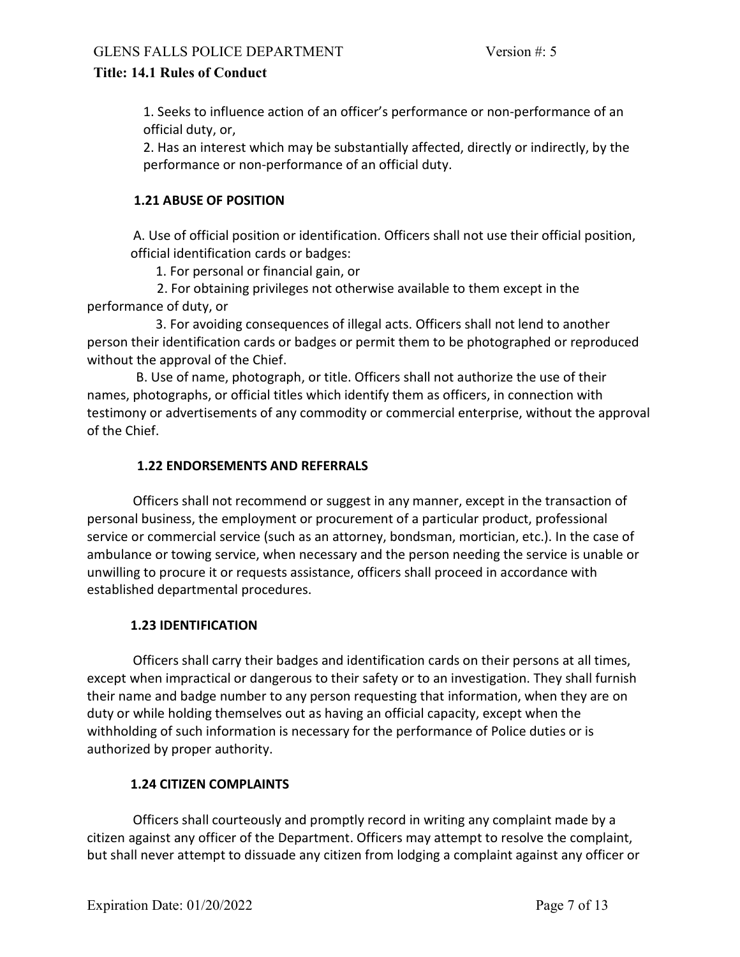1. Seeks to influence action of an officer's performance or non-performance of an official duty, or,

2. Has an interest which may be substantially affected, directly or indirectly, by the performance or non-performance of an official duty.

## 1.21 ABUSE OF POSITION

A. Use of official position or identification. Officers shall not use their official position, official identification cards or badges:

1. For personal or financial gain, or

 2. For obtaining privileges not otherwise available to them except in the performance of duty, or

 3. For avoiding consequences of illegal acts. Officers shall not lend to another person their identification cards or badges or permit them to be photographed or reproduced without the approval of the Chief.

 B. Use of name, photograph, or title. Officers shall not authorize the use of their names, photographs, or official titles which identify them as officers, in connection with testimony or advertisements of any commodity or commercial enterprise, without the approval of the Chief.

## 1.22 ENDORSEMENTS AND REFERRALS

 Officers shall not recommend or suggest in any manner, except in the transaction of personal business, the employment or procurement of a particular product, professional service or commercial service (such as an attorney, bondsman, mortician, etc.). In the case of ambulance or towing service, when necessary and the person needing the service is unable or unwilling to procure it or requests assistance, officers shall proceed in accordance with established departmental procedures.

## 1.23 IDENTIFICATION

 Officers shall carry their badges and identification cards on their persons at all times, except when impractical or dangerous to their safety or to an investigation. They shall furnish their name and badge number to any person requesting that information, when they are on duty or while holding themselves out as having an official capacity, except when the withholding of such information is necessary for the performance of Police duties or is authorized by proper authority.

## 1.24 CITIZEN COMPLAINTS

 Officers shall courteously and promptly record in writing any complaint made by a citizen against any officer of the Department. Officers may attempt to resolve the complaint, but shall never attempt to dissuade any citizen from lodging a complaint against any officer or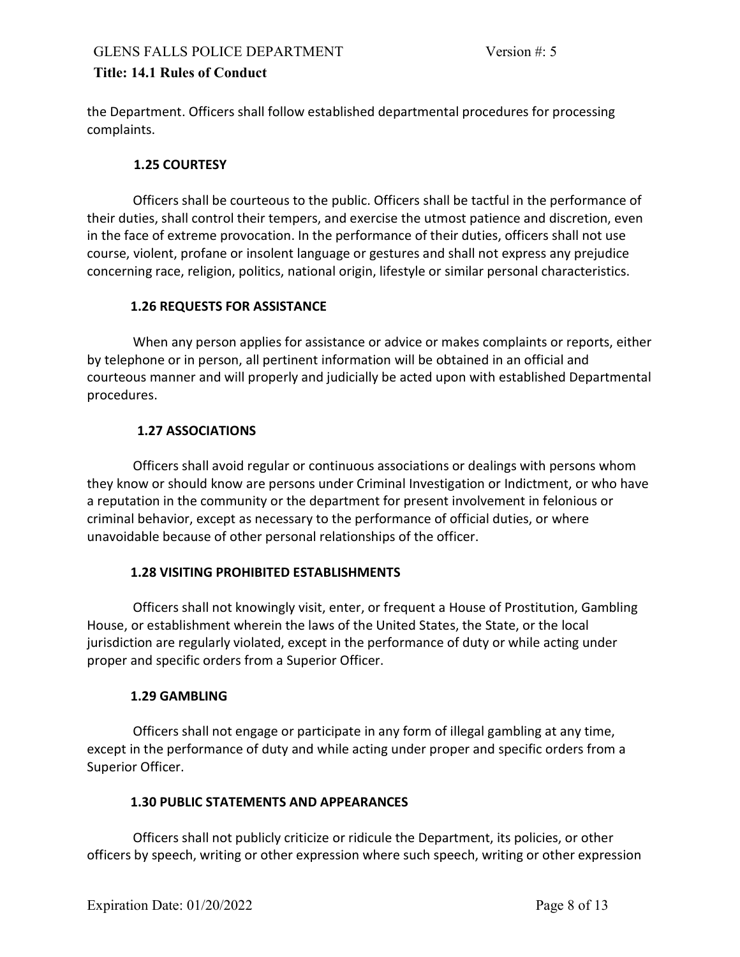the Department. Officers shall follow established departmental procedures for processing complaints.

### 1.25 COURTESY

 Officers shall be courteous to the public. Officers shall be tactful in the performance of their duties, shall control their tempers, and exercise the utmost patience and discretion, even in the face of extreme provocation. In the performance of their duties, officers shall not use course, violent, profane or insolent language or gestures and shall not express any prejudice concerning race, religion, politics, national origin, lifestyle or similar personal characteristics.

### 1.26 REQUESTS FOR ASSISTANCE

 When any person applies for assistance or advice or makes complaints or reports, either by telephone or in person, all pertinent information will be obtained in an official and courteous manner and will properly and judicially be acted upon with established Departmental procedures.

## 1.27 ASSOCIATIONS

 Officers shall avoid regular or continuous associations or dealings with persons whom they know or should know are persons under Criminal Investigation or Indictment, or who have a reputation in the community or the department for present involvement in felonious or criminal behavior, except as necessary to the performance of official duties, or where unavoidable because of other personal relationships of the officer.

## 1.28 VISITING PROHIBITED ESTABLISHMENTS

 Officers shall not knowingly visit, enter, or frequent a House of Prostitution, Gambling House, or establishment wherein the laws of the United States, the State, or the local jurisdiction are regularly violated, except in the performance of duty or while acting under proper and specific orders from a Superior Officer.

#### 1.29 GAMBLING

 Officers shall not engage or participate in any form of illegal gambling at any time, except in the performance of duty and while acting under proper and specific orders from a Superior Officer.

#### 1.30 PUBLIC STATEMENTS AND APPEARANCES

 Officers shall not publicly criticize or ridicule the Department, its policies, or other officers by speech, writing or other expression where such speech, writing or other expression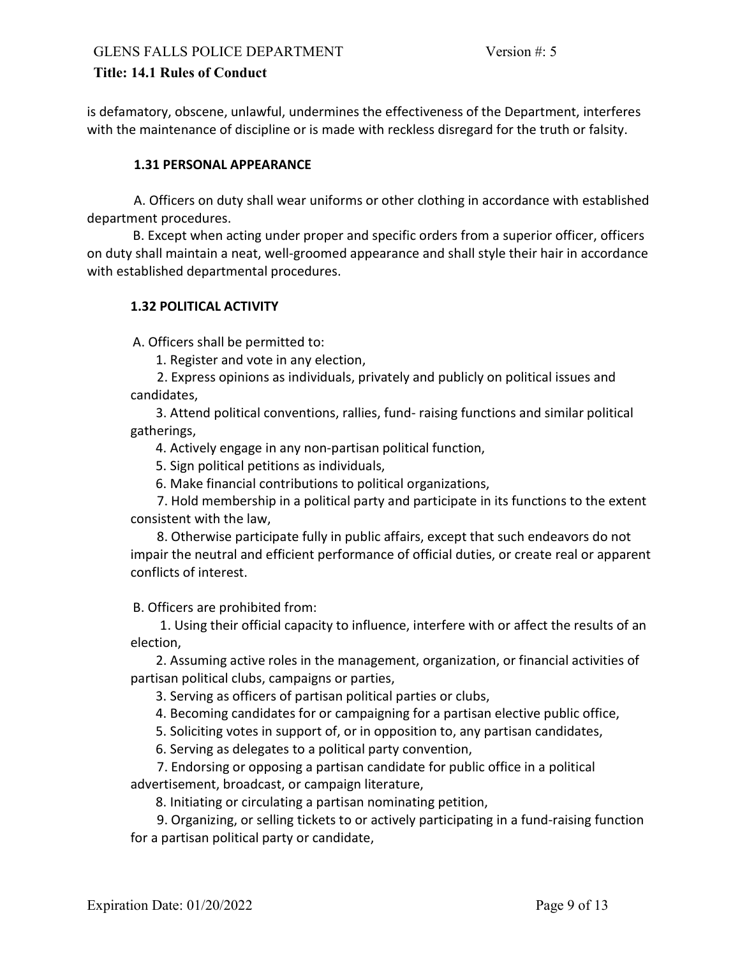is defamatory, obscene, unlawful, undermines the effectiveness of the Department, interferes with the maintenance of discipline or is made with reckless disregard for the truth or falsity.

### 1.31 PERSONAL APPEARANCE

 A. Officers on duty shall wear uniforms or other clothing in accordance with established department procedures.

 B. Except when acting under proper and specific orders from a superior officer, officers on duty shall maintain a neat, well-groomed appearance and shall style their hair in accordance with established departmental procedures.

### 1.32 POLITICAL ACTIVITY

A. Officers shall be permitted to:

- 1. Register and vote in any election,
- 2. Express opinions as individuals, privately and publicly on political issues and candidates,

3. Attend political conventions, rallies, fund- raising functions and similar political gatherings,

4. Actively engage in any non-partisan political function,

5. Sign political petitions as individuals,

6. Make financial contributions to political organizations,

 7. Hold membership in a political party and participate in its functions to the extent consistent with the law,

 8. Otherwise participate fully in public affairs, except that such endeavors do not impair the neutral and efficient performance of official duties, or create real or apparent conflicts of interest.

B. Officers are prohibited from:

 1. Using their official capacity to influence, interfere with or affect the results of an election,

2. Assuming active roles in the management, organization, or financial activities of partisan political clubs, campaigns or parties,

3. Serving as officers of partisan political parties or clubs,

4. Becoming candidates for or campaigning for a partisan elective public office,

5. Soliciting votes in support of, or in opposition to, any partisan candidates,

6. Serving as delegates to a political party convention,

 7. Endorsing or opposing a partisan candidate for public office in a political advertisement, broadcast, or campaign literature,

8. Initiating or circulating a partisan nominating petition,

 9. Organizing, or selling tickets to or actively participating in a fund-raising function for a partisan political party or candidate,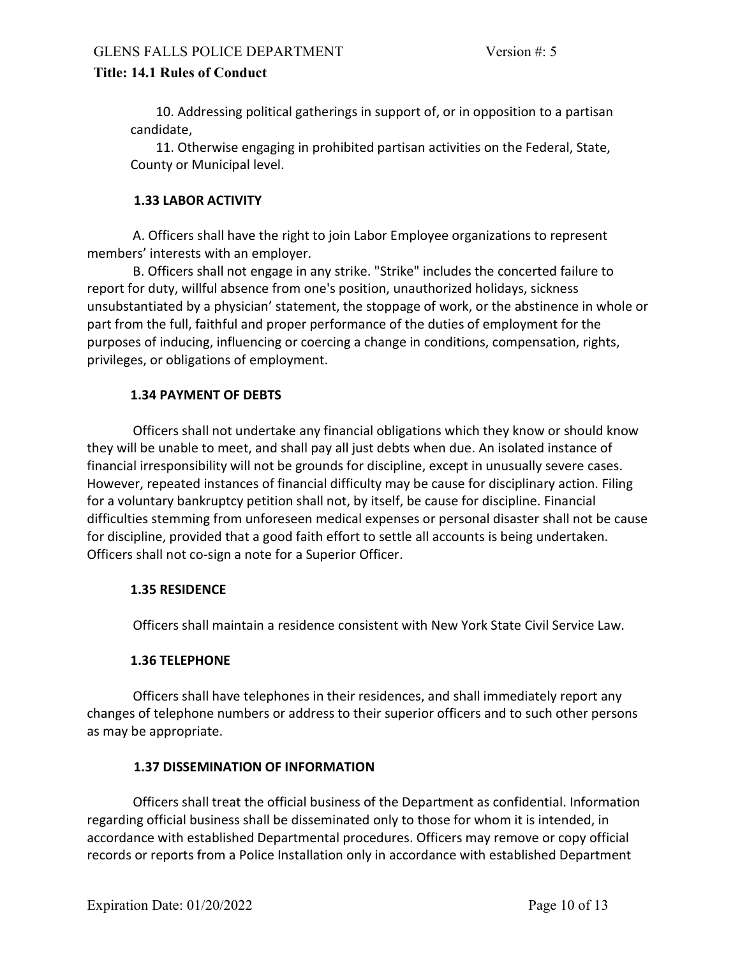10. Addressing political gatherings in support of, or in opposition to a partisan candidate,

11. Otherwise engaging in prohibited partisan activities on the Federal, State, County or Municipal level.

#### 1.33 LABOR ACTIVITY

 A. Officers shall have the right to join Labor Employee organizations to represent members' interests with an employer.

 B. Officers shall not engage in any strike. "Strike" includes the concerted failure to report for duty, willful absence from one's position, unauthorized holidays, sickness unsubstantiated by a physician' statement, the stoppage of work, or the abstinence in whole or part from the full, faithful and proper performance of the duties of employment for the purposes of inducing, influencing or coercing a change in conditions, compensation, rights, privileges, or obligations of employment.

## 1.34 PAYMENT OF DEBTS

 Officers shall not undertake any financial obligations which they know or should know they will be unable to meet, and shall pay all just debts when due. An isolated instance of financial irresponsibility will not be grounds for discipline, except in unusually severe cases. However, repeated instances of financial difficulty may be cause for disciplinary action. Filing for a voluntary bankruptcy petition shall not, by itself, be cause for discipline. Financial difficulties stemming from unforeseen medical expenses or personal disaster shall not be cause for discipline, provided that a good faith effort to settle all accounts is being undertaken. Officers shall not co-sign a note for a Superior Officer.

#### 1.35 RESIDENCE

Officers shall maintain a residence consistent with New York State Civil Service Law.

## 1.36 TELEPHONE

 Officers shall have telephones in their residences, and shall immediately report any changes of telephone numbers or address to their superior officers and to such other persons as may be appropriate.

## 1.37 DISSEMINATION OF INFORMATION

 Officers shall treat the official business of the Department as confidential. Information regarding official business shall be disseminated only to those for whom it is intended, in accordance with established Departmental procedures. Officers may remove or copy official records or reports from a Police Installation only in accordance with established Department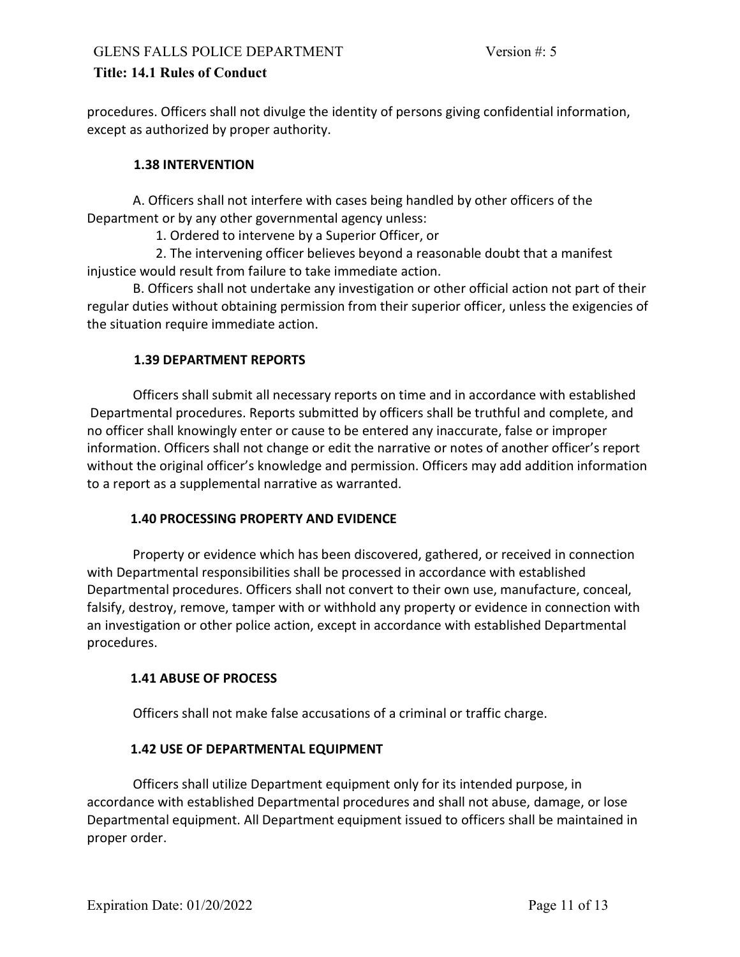procedures. Officers shall not divulge the identity of persons giving confidential information, except as authorized by proper authority.

### 1.38 INTERVENTION

 A. Officers shall not interfere with cases being handled by other officers of the Department or by any other governmental agency unless:

1. Ordered to intervene by a Superior Officer, or

 2. The intervening officer believes beyond a reasonable doubt that a manifest injustice would result from failure to take immediate action.

 B. Officers shall not undertake any investigation or other official action not part of their regular duties without obtaining permission from their superior officer, unless the exigencies of the situation require immediate action.

### 1.39 DEPARTMENT REPORTS

 Officers shall submit all necessary reports on time and in accordance with established Departmental procedures. Reports submitted by officers shall be truthful and complete, and no officer shall knowingly enter or cause to be entered any inaccurate, false or improper information. Officers shall not change or edit the narrative or notes of another officer's report without the original officer's knowledge and permission. Officers may add addition information to a report as a supplemental narrative as warranted.

#### 1.40 PROCESSING PROPERTY AND EVIDENCE

 Property or evidence which has been discovered, gathered, or received in connection with Departmental responsibilities shall be processed in accordance with established Departmental procedures. Officers shall not convert to their own use, manufacture, conceal, falsify, destroy, remove, tamper with or withhold any property or evidence in connection with an investigation or other police action, except in accordance with established Departmental procedures.

## 1.41 ABUSE OF PROCESS

Officers shall not make false accusations of a criminal or traffic charge.

#### 1.42 USE OF DEPARTMENTAL EQUIPMENT

 Officers shall utilize Department equipment only for its intended purpose, in accordance with established Departmental procedures and shall not abuse, damage, or lose Departmental equipment. All Department equipment issued to officers shall be maintained in proper order.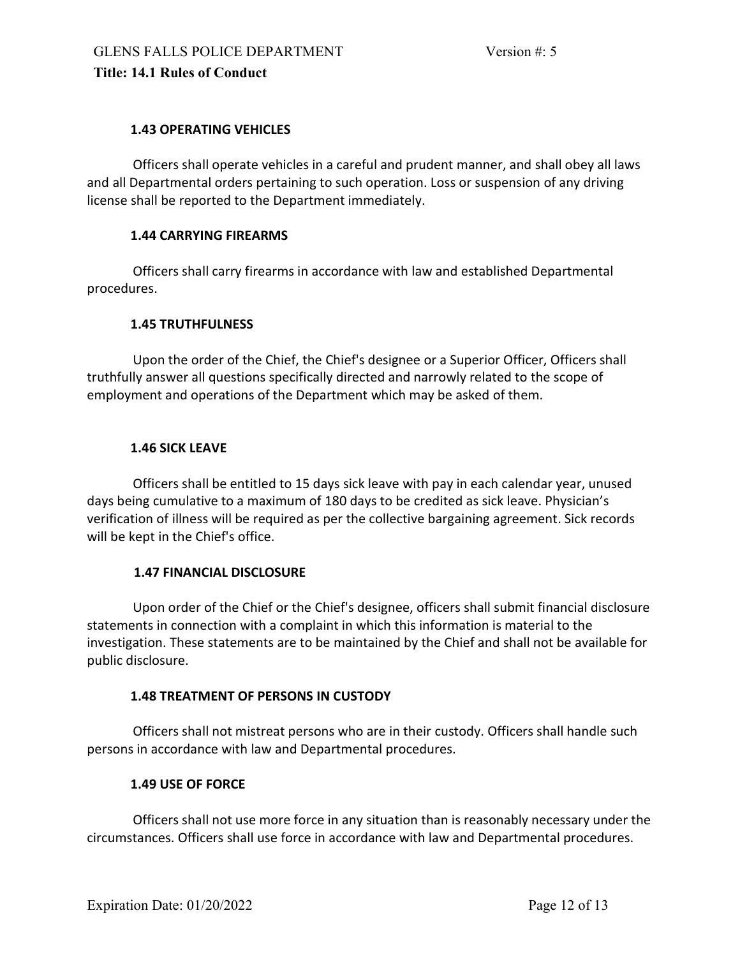## 1.43 OPERATING VEHICLES

 Officers shall operate vehicles in a careful and prudent manner, and shall obey all laws and all Departmental orders pertaining to such operation. Loss or suspension of any driving license shall be reported to the Department immediately.

### 1.44 CARRYING FIREARMS

 Officers shall carry firearms in accordance with law and established Departmental procedures.

### 1.45 TRUTHFULNESS

 Upon the order of the Chief, the Chief's designee or a Superior Officer, Officers shall truthfully answer all questions specifically directed and narrowly related to the scope of employment and operations of the Department which may be asked of them.

### 1.46 SICK LEAVE

 Officers shall be entitled to 15 days sick leave with pay in each calendar year, unused days being cumulative to a maximum of 180 days to be credited as sick leave. Physician's verification of illness will be required as per the collective bargaining agreement. Sick records will be kept in the Chief's office.

#### 1.47 FINANCIAL DISCLOSURE

 Upon order of the Chief or the Chief's designee, officers shall submit financial disclosure statements in connection with a complaint in which this information is material to the investigation. These statements are to be maintained by the Chief and shall not be available for public disclosure.

#### 1.48 TREATMENT OF PERSONS IN CUSTODY

 Officers shall not mistreat persons who are in their custody. Officers shall handle such persons in accordance with law and Departmental procedures.

## 1.49 USE OF FORCE

 Officers shall not use more force in any situation than is reasonably necessary under the circumstances. Officers shall use force in accordance with law and Departmental procedures.